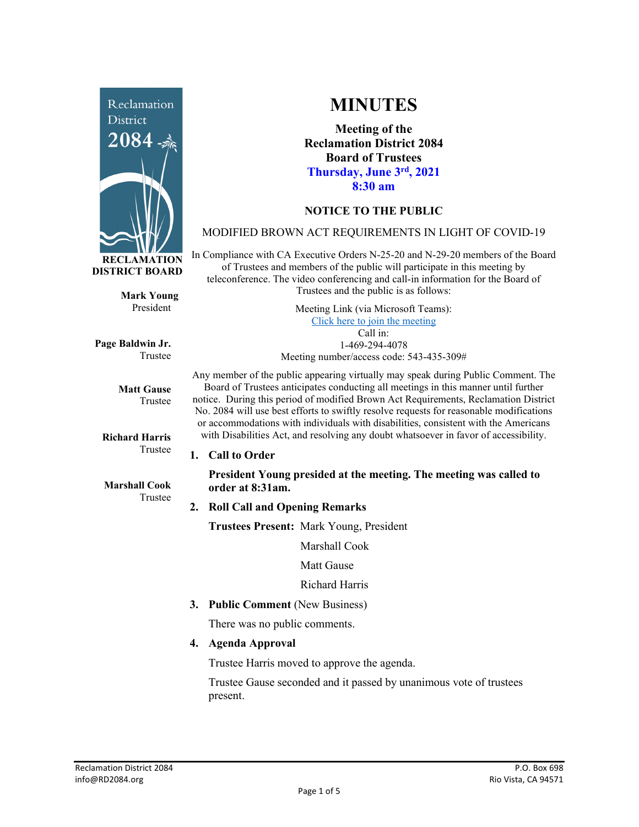

**Mark Young** President

**Page Baldwin Jr.** Trustee

> **Matt Gause** Trustee

**Richard Harris** Trustee

**Marshall Cook** Trustee

# **MINUTES**

**Meeting of the Reclamation District 2084 Board of Trustees Thursday, June 3rd, 2021 8:30 am**

## **NOTICE TO THE PUBLIC**

### MODIFIED BROWN ACT REQUIREMENTS IN LIGHT OF COVID-19

In Compliance with CA Executive Orders N-25-20 and N-29-20 members of the Board of Trustees and members of the public will participate in this meeting by teleconference. The video conferencing and call-in information for the Board of Trustees and the public is as follows:

> Meeting Link (via Microsoft Teams): [Click here to join the meeting](https://teams.microsoft.com/l/meetup-join/19%3ameeting_Y2UyNWRiYzQtYWY2Mi00MTlhLWI0NDQtMjUzYzk0OWU0NGFi%40thread.v2/0?context=%7b%22Tid%22%3a%22f9038203-c87c-4f0e-b326-970a381acd40%22%2c%22Oid%22%3a%22b6a515a8-4d0a-410e-b81a-1dc60ae8c01d%22%7d) Call in: 1-469-294-4078 Meeting number/access code: 543-435-309#

Any member of the public appearing virtually may speak during Public Comment. The Board of Trustees anticipates conducting all meetings in this manner until further notice. During this period of modified Brown Act Requirements, Reclamation District No. 2084 will use best efforts to swiftly resolve requests for reasonable modifications or accommodations with individuals with disabilities, consistent with the Americans with Disabilities Act, and resolving any doubt whatsoever in favor of accessibility.

**1. Call to Order**

**President Young presided at the meeting. The meeting was called to order at 8:31am.** 

### **2. Roll Call and Opening Remarks**

**Trustees Present:** Mark Young, President

Marshall Cook

Matt Gause

Richard Harris

**3. Public Comment** (New Business)

There was no public comments.

**4. Agenda Approval**

Trustee Harris moved to approve the agenda.

Trustee Gause seconded and it passed by unanimous vote of trustees present.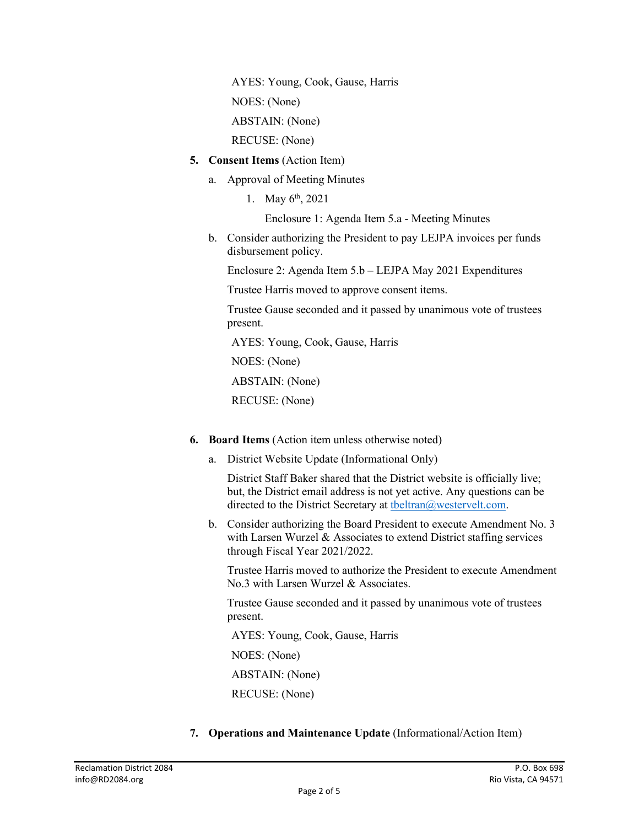AYES: Young, Cook, Gause, Harris NOES: (None) ABSTAIN: (None)

RECUSE: (None)

- **5. Consent Items** (Action Item)
	- a. Approval of Meeting Minutes
		- 1. May  $6^{th}$ , 2021

Enclosure 1: Agenda Item 5.a - Meeting Minutes

b. Consider authorizing the President to pay LEJPA invoices per funds disbursement policy.

Enclosure 2: Agenda Item 5.b – LEJPA May 2021 Expenditures

Trustee Harris moved to approve consent items.

Trustee Gause seconded and it passed by unanimous vote of trustees present.

AYES: Young, Cook, Gause, Harris

NOES: (None)

ABSTAIN: (None)

RECUSE: (None)

- **6. Board Items** (Action item unless otherwise noted)
	- a. District Website Update (Informational Only)

District Staff Baker shared that the District website is officially live; but, the District email address is not yet active. Any questions can be directed to the District Secretary at the ltran@westervelt.com.

b. Consider authorizing the Board President to execute Amendment No. 3 with Larsen Wurzel & Associates to extend District staffing services through Fiscal Year 2021/2022.

Trustee Harris moved to authorize the President to execute Amendment No.3 with Larsen Wurzel & Associates.

Trustee Gause seconded and it passed by unanimous vote of trustees present.

AYES: Young, Cook, Gause, Harris

NOES: (None)

ABSTAIN: (None)

RECUSE: (None)

**7. Operations and Maintenance Update** (Informational/Action Item)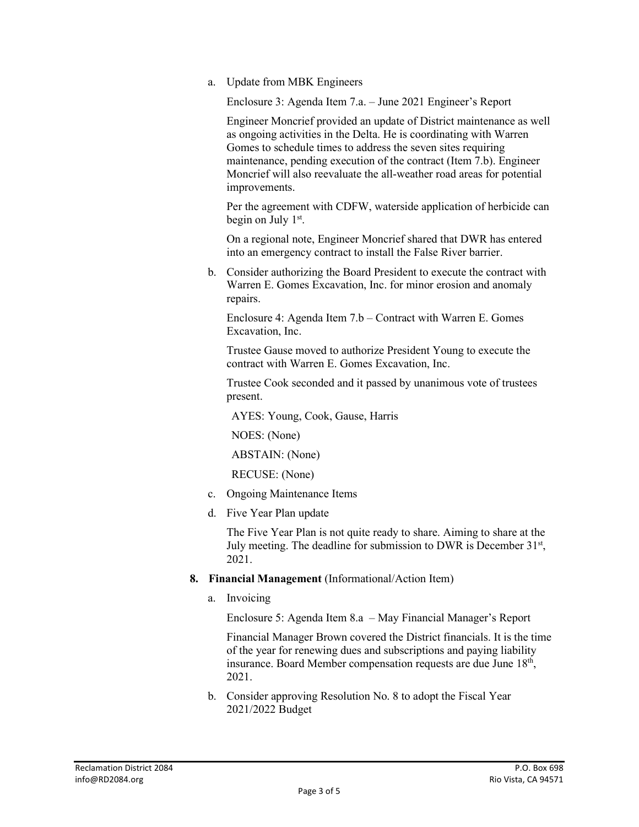a. Update from MBK Engineers

Enclosure 3: Agenda Item 7.a. – June 2021 Engineer's Report

Engineer Moncrief provided an update of District maintenance as well as ongoing activities in the Delta. He is coordinating with Warren Gomes to schedule times to address the seven sites requiring maintenance, pending execution of the contract (Item 7.b). Engineer Moncrief will also reevaluate the all-weather road areas for potential improvements.

Per the agreement with CDFW, waterside application of herbicide can begin on July 1<sup>st</sup>.

On a regional note, Engineer Moncrief shared that DWR has entered into an emergency contract to install the False River barrier.

b. Consider authorizing the Board President to execute the contract with Warren E. Gomes Excavation, Inc. for minor erosion and anomaly repairs.

Enclosure 4: Agenda Item 7.b – Contract with Warren E. Gomes Excavation, Inc.

Trustee Gause moved to authorize President Young to execute the contract with Warren E. Gomes Excavation, Inc.

Trustee Cook seconded and it passed by unanimous vote of trustees present.

AYES: Young, Cook, Gause, Harris

NOES: (None)

ABSTAIN: (None)

RECUSE: (None)

- c. Ongoing Maintenance Items
- d. Five Year Plan update

The Five Year Plan is not quite ready to share. Aiming to share at the July meeting. The deadline for submission to DWR is December  $31<sup>st</sup>$ , 2021.

- **8. Financial Management** (Informational/Action Item)
	- a. Invoicing

Enclosure 5: Agenda Item 8.a – May Financial Manager's Report

Financial Manager Brown covered the District financials. It is the time of the year for renewing dues and subscriptions and paying liability insurance. Board Member compensation requests are due June 18<sup>th</sup>, 2021.

b. Consider approving Resolution No. 8 to adopt the Fiscal Year 2021/2022 Budget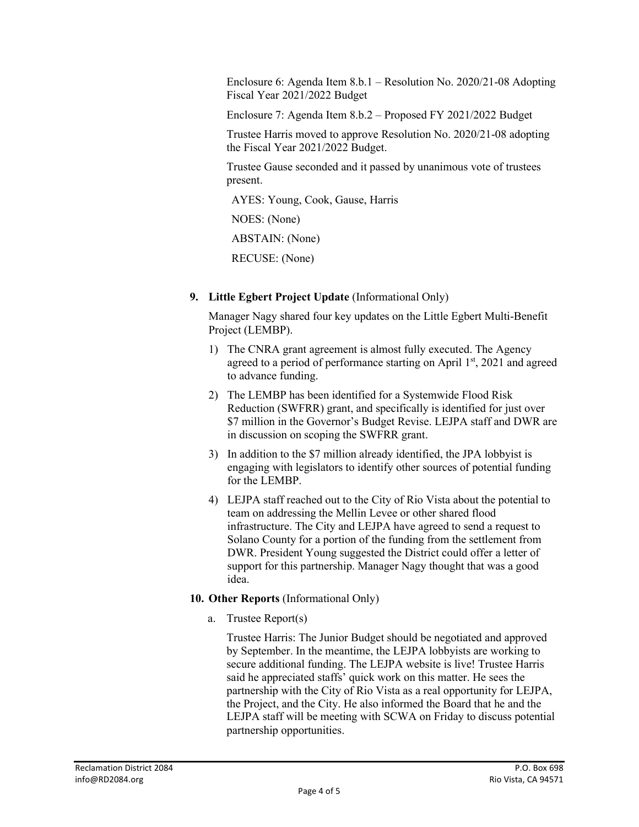Enclosure 6: Agenda Item 8.b.1 – Resolution No. 2020/21-08 Adopting Fiscal Year 2021/2022 Budget

Enclosure 7: Agenda Item 8.b.2 – Proposed FY 2021/2022 Budget

Trustee Harris moved to approve Resolution No. 2020/21-08 adopting the Fiscal Year 2021/2022 Budget.

Trustee Gause seconded and it passed by unanimous vote of trustees present.

AYES: Young, Cook, Gause, Harris

NOES: (None)

ABSTAIN: (None)

RECUSE: (None)

**9. Little Egbert Project Update** (Informational Only)

Manager Nagy shared four key updates on the Little Egbert Multi-Benefit Project (LEMBP).

- 1) The CNRA grant agreement is almost fully executed. The Agency agreed to a period of performance starting on April  $1<sup>st</sup>$ , 2021 and agreed to advance funding.
- 2) The LEMBP has been identified for a Systemwide Flood Risk Reduction (SWFRR) grant, and specifically is identified for just over \$7 million in the Governor's Budget Revise. LEJPA staff and DWR are in discussion on scoping the SWFRR grant.
- 3) In addition to the \$7 million already identified, the JPA lobbyist is engaging with legislators to identify other sources of potential funding for the LEMBP.
- 4) LEJPA staff reached out to the City of Rio Vista about the potential to team on addressing the Mellin Levee or other shared flood infrastructure. The City and LEJPA have agreed to send a request to Solano County for a portion of the funding from the settlement from DWR. President Young suggested the District could offer a letter of support for this partnership. Manager Nagy thought that was a good idea.

## **10. Other Reports** (Informational Only)

a. Trustee Report(s)

Trustee Harris: The Junior Budget should be negotiated and approved by September. In the meantime, the LEJPA lobbyists are working to secure additional funding. The LEJPA website is live! Trustee Harris said he appreciated staffs' quick work on this matter. He sees the partnership with the City of Rio Vista as a real opportunity for LEJPA, the Project, and the City. He also informed the Board that he and the LEJPA staff will be meeting with SCWA on Friday to discuss potential partnership opportunities.